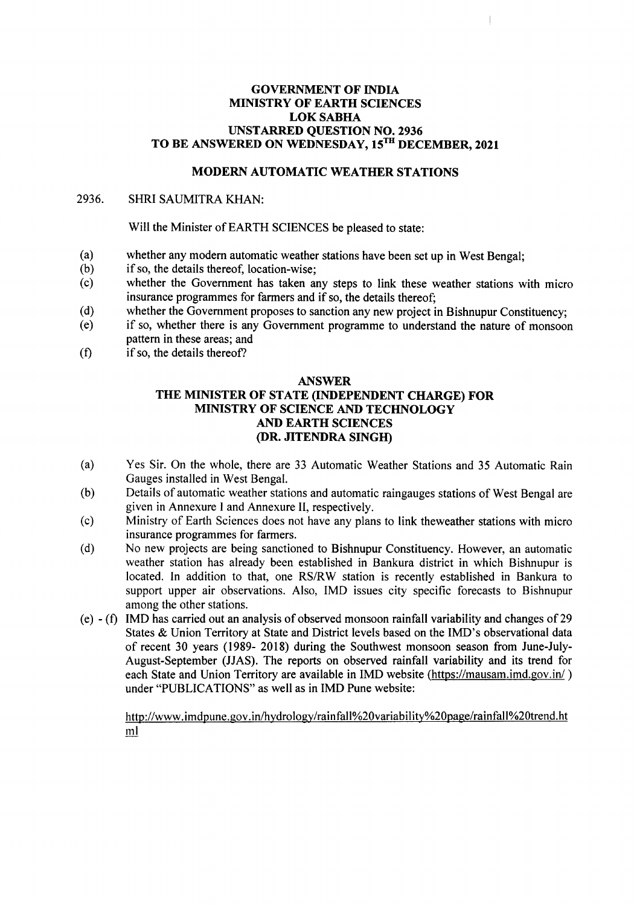#### GOVERNMENT OF INDIA MINISTRY OF EARTH SCIENCES LOKSABHA UNSTARRED QUESTION NO. 2936 TO BE ANSWERED ON WEDNESDAY, 15TH DECEMBER, 2021

## MODERN AUTOMATIC WEATHER STATIONS

#### 2936. SHRI SAUMITRA KHAN:

Will the Minister of EARTH SCIENCES be pleased to state:

- (a) whether any modem automatic weather stations have been set up in West Bengal;
- (b) if so, the details thereof, location-wise;
- (c) whether the Government has taken any steps to link these weather stations with micro insurance programmes for farmers and if so, the details thereof;
- (d) whether the Government proposes to sanction any new project in Bishnupur Constituency;<br>(e) if so, whether there is any Government programme to understand the nature of monsoon
- if so, whether there is any Government programme to understand the nature of monsoon pattern in these areas; and
- (f) if so, the details thereof?

#### ANSWER

### THE MINISTER OF STATE (INDEPENDENT CHARGE) FOR MINISTRY OF SCIENCE AND TECHNOLOGY AND EARTH SCIENCES (DR. JITENDRA SINGH)

- (a) Yes Sir. On the whole, there are 33 Automatic Weather Stations and 35 Automatic Rain Gauges installed in West Bengal.
- (b) Details of automatic weather stations and automatic raingauges stations of West Bengal are given in Annexure I and Annexure II, respectively.
- (c) Ministry of Earth Sciences does not have any plans to link theweather stations with micro insurance programmes for farmers.
- (d) No new projects are being sanctioned to Bishnupur Constituency. However, an automatic weather station has already been established in Bankura district in which Bishnupur is located. In addition to that, one RS/RW station is recently established in Bankura to support upper air observations. Also, IMD issues city specific forecasts to Bishnupur among the other stations.
- (e) (t) IMD has carried out an analysis of observed monsoon rainfall variability and changes of29 States & Union Territory at State and District levels based on the IMD's observational data of recent 30 years (1989- 2018) during the Southwest monsoon season from June-July-August-September (JJAS). The reports on observed rainfall variability and its trend for each State and Union Territory are available in IMD website (https://mausam.imd.gov.in/) under "PUBLICATIONS" as well as in IMD Pune website:

http://www.imdpune.gov.inlhydrology/rainfall%20variability%20page/rainfall%20trend.ht ml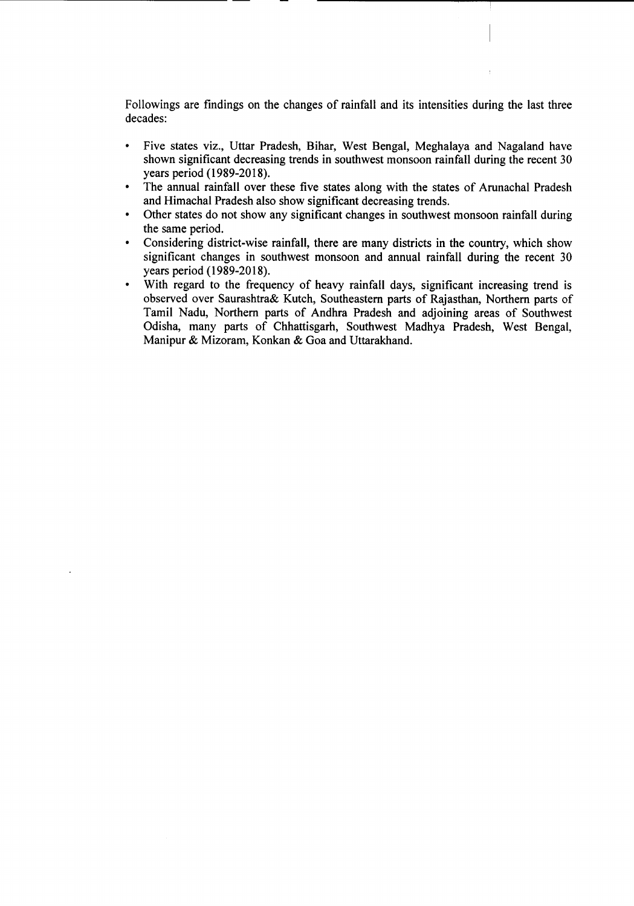Followings are findings on the changes of rainfall and its intensities during the last three decades:

- Five states viz., Uttar Pradesh, Bihar, West Bengal, Meghalaya and Nagaland have shown significant decreasing trends in southwest monsoon rainfall during the recent 30 years period (1989-2018).
- The annual rainfall over these five states along with the states of Arunachal Pradesh and Himachal Pradesh also show significant decreasing trends.
- Other states do not show any significant changes in southwest monsoon rainfall during the same period.
- Considering district-wise rainfall, there are many districts in the country, which show significant changes in southwest monsoon and annual rainfall during the recent 30 years period (1989-2018).
- With regard to the frequency of heavy rainfall days, significant increasing trend is observed over Saurashtra& Kutch, Southeastern parts of Rajasthan, Northern parts of Tamil Nadu, Northern parts of Andhra Pradesh and adjoining areas of Southwest Odisha, many parts of Chhattisgarh, Southwest Madhya Pradesh, West Bengal, Manipur & Mizoram, Konkan & Goa and Uttarakhand.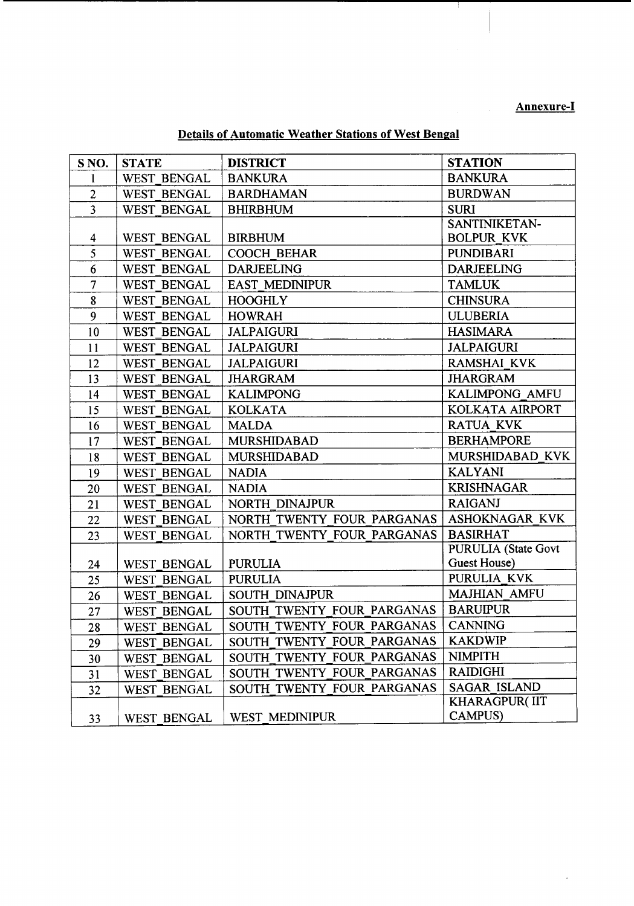# Annexure-I

Details of Automatic Weather Stations of West Bengal

| S <sub>NO</sub> .       | <b>STATE</b>       | <b>DISTRICT</b>            | <b>STATION</b>             |
|-------------------------|--------------------|----------------------------|----------------------------|
| 1                       | <b>WEST BENGAL</b> | <b>BANKURA</b>             | <b>BANKURA</b>             |
| $\overline{2}$          | <b>WEST BENGAL</b> | <b>BARDHAMAN</b>           | <b>BURDWAN</b>             |
| $\overline{3}$          | <b>WEST BENGAL</b> | <b>BHIRBHUM</b>            | <b>SURI</b>                |
|                         |                    |                            | SANTINIKETAN-              |
| $\overline{\mathbf{4}}$ | <b>WEST BENGAL</b> | <b>BIRBHUM</b>             | <b>BOLPUR KVK</b>          |
| 5                       | <b>WEST BENGAL</b> | <b>COOCH BEHAR</b>         | <b>PUNDIBARI</b>           |
| $6\phantom{1}6$         | <b>WEST BENGAL</b> | <b>DARJEELING</b>          | <b>DARJEELING</b>          |
| $\overline{\tau}$       | <b>WEST BENGAL</b> | <b>EAST MEDINIPUR</b>      | <b>TAMLUK</b>              |
| 8                       | <b>WEST BENGAL</b> | <b>HOOGHLY</b>             | <b>CHINSURA</b>            |
| 9                       | <b>WEST BENGAL</b> | <b>HOWRAH</b>              | <b>ULUBERIA</b>            |
| 10                      | <b>WEST BENGAL</b> | <b>JALPAIGURI</b>          | <b>HASIMARA</b>            |
| 11                      | <b>WEST BENGAL</b> | <b>JALPAIGURI</b>          | <b>JALPAIGURI</b>          |
| 12                      | <b>WEST BENGAL</b> | <b>JALPAIGURI</b>          | <b>RAMSHAI KVK</b>         |
| 13                      | <b>WEST BENGAL</b> | <b>JHARGRAM</b>            | <b>JHARGRAM</b>            |
| 14                      | <b>WEST BENGAL</b> | <b>KALIMPONG</b>           | KALIMPONG AMFU             |
| 15                      | <b>WEST BENGAL</b> | <b>KOLKATA</b>             | KOLKATA AIRPORT            |
| 16                      | <b>WEST BENGAL</b> | <b>MALDA</b>               | <b>RATUA KVK</b>           |
| 17                      | WEST BENGAL        | <b>MURSHIDABAD</b>         | <b>BERHAMPORE</b>          |
| 18                      | <b>WEST BENGAL</b> | <b>MURSHIDABAD</b>         | MURSHIDABAD KVK            |
| 19                      | <b>WEST BENGAL</b> | <b>NADIA</b>               | <b>KALYANI</b>             |
| 20                      | <b>WEST BENGAL</b> | <b>NADIA</b>               | <b>KRISHNAGAR</b>          |
| 21                      | <b>WEST BENGAL</b> | NORTH DINAJPUR             | <b>RAIGANJ</b>             |
| 22                      | <b>WEST BENGAL</b> | NORTH TWENTY FOUR PARGANAS | <b>ASHOKNAGAR KVK</b>      |
| 23                      | <b>WEST BENGAL</b> | NORTH TWENTY FOUR PARGANAS | <b>BASIRHAT</b>            |
|                         |                    |                            | <b>PURULIA</b> (State Govt |
| 24                      | <b>WEST BENGAL</b> | <b>PURULIA</b>             | Guest House)               |
| 25                      | <b>WEST BENGAL</b> | <b>PURULIA</b>             | PURULIA KVK                |
| 26                      | <b>WEST BENGAL</b> | <b>SOUTH DINAJPUR</b>      | <b>MAJHIAN AMFU</b>        |
| 27                      | <b>WEST BENGAL</b> | SOUTH TWENTY FOUR PARGANAS | <b>BARUIPUR</b>            |
| 28                      | <b>WEST BENGAL</b> | SOUTH TWENTY FOUR PARGANAS | <b>CANNING</b>             |
| 29                      | <b>WEST BENGAL</b> | SOUTH TWENTY FOUR PARGANAS | <b>KAKDWIP</b>             |
| 30                      | <b>WEST BENGAL</b> | SOUTH TWENTY FOUR PARGANAS | <b>NIMPITH</b>             |
| 31                      | <b>WEST BENGAL</b> | SOUTH TWENTY FOUR PARGANAS | <b>RAIDIGHI</b>            |
| 32                      | <b>WEST BENGAL</b> | SOUTH TWENTY FOUR PARGANAS | <b>SAGAR ISLAND</b>        |
|                         |                    |                            | <b>KHARAGPUR(IIT</b>       |
| 33                      | <b>WEST BENGAL</b> | WEST MEDINIPUR             | <b>CAMPUS)</b>             |